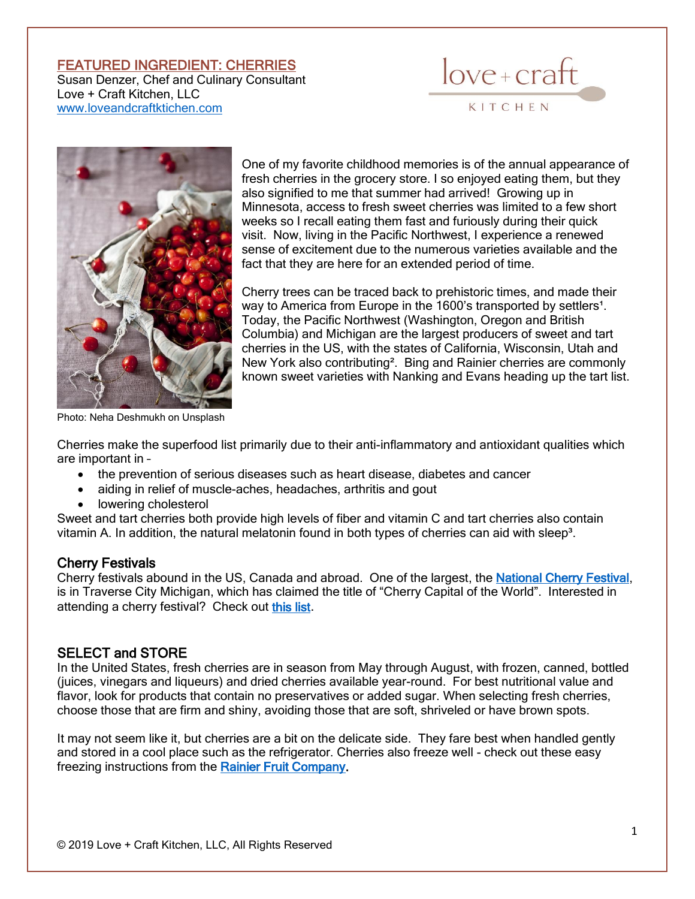## FEATURED INGREDIENT: CHERRIES

Susan Denzer, Chef and Culinary Consultant Love + Craft Kitchen, LLC [www.loveandcraftktichen.com](http://www.loveandcraftktichen.com/)





One of my favorite childhood memories is of the annual appearance of fresh cherries in the grocery store. I so enjoyed eating them, but they also signified to me that summer had arrived! Growing up in Minnesota, access to fresh sweet cherries was limited to a few short weeks so I recall eating them fast and furiously during their quick visit. Now, living in the Pacific Northwest, I experience a renewed sense of excitement due to the numerous varieties available and the fact that they are here for an extended period of time.

Cherry trees can be traced back to prehistoric times, and made their way to America from Europe in the 1600's transported by settlers<sup>1</sup>. Today, the Pacific Northwest (Washington, Oregon and British Columbia) and Michigan are the largest producers of sweet and tart cherries in the US, with the states of California, Wisconsin, Utah and New York also contributing². Bing and Rainier cherries are commonly known sweet varieties with Nanking and Evans heading up the tart list.

Photo: Neha Deshmukh on Unsplash

Cherries make the superfood list primarily due to their anti-inflammatory and antioxidant qualities which are important in –

- the prevention of serious diseases such as heart disease, diabetes and cancer
- aiding in relief of muscle-aches, headaches, arthritis and gout
- lowering cholesterol

Sweet and tart cherries both provide high levels of fiber and vitamin C and tart cherries also contain vitamin A. In addition, the natural melatonin found in both types of cherries can aid with sleep<sup>3</sup>.

## Cherry Festivals

Cherry festivals abound in the US, Canada and abroad. One of the largest, the [National Cherry Festival,](https://www.cherryfestival.org/) is in Traverse City Michigan, which has claimed the title of "Cherry Capital of the World". Interested in attending a cherry festival? Check out [this list](http://www.pickyourown.org/cherryfestivals.php).

#### SELECT and STORE

In the United States, fresh cherries are in season from May through August, with frozen, canned, bottled (juices, vinegars and liqueurs) and dried cherries available year-round. For best nutritional value and flavor, look for products that contain no preservatives or added sugar. When selecting fresh cherries, choose those that are firm and shiny, avoiding those that are soft, shriveled or have brown spots.

It may not seem like it, but cherries are a bit on the delicate side. They fare best when handled gently and stored in a cool place such as the refrigerator. Cherries also freeze well - check out these easy freezing instructions from the [Rainier Fruit Company.](https://rainierfruit.com/cherries/)